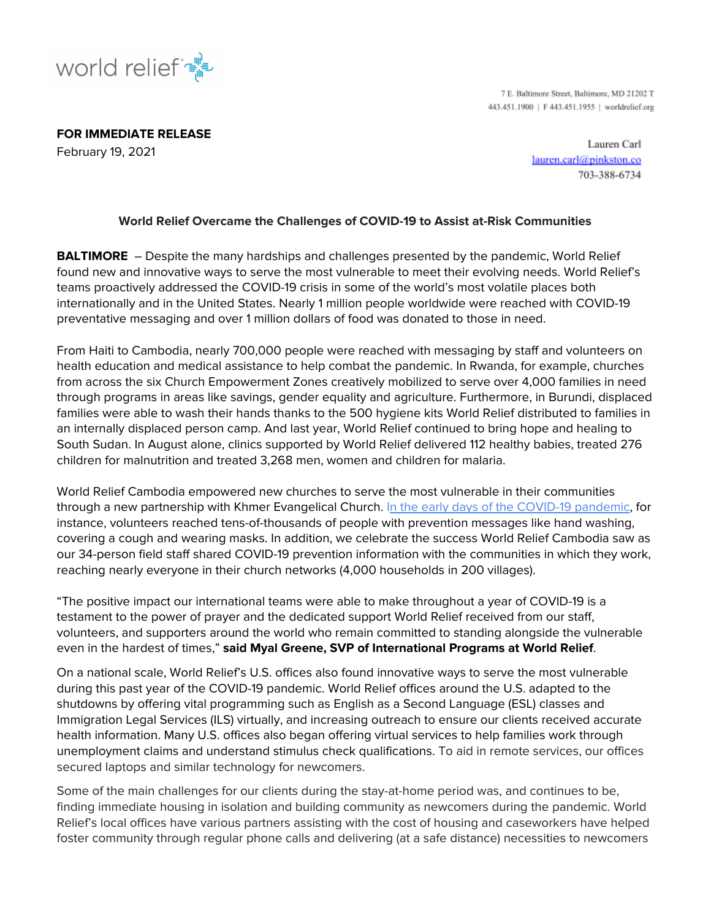

7 E. Baltimore Street, Baltimore, MD 21202 T 443.451.1900 | F 443.451.1955 | worldrelief.org

**FOR IMMEDIATE RELEASE** February 19, 2021

Lauren Carl lauren.carl@pinkston.co 703-388-6734

## **World Relief Overcame the Challenges of COVID-19 to Assist at-Risk Communities**

**BALTIMORE** – Despite the many hardships and challenges presented by the pandemic, World Relief found new and innovative ways to serve the most vulnerable to meet their evolving needs. World Relief's teams proactively addressed the COVID-19 crisis in some of the world's most volatile places both internationally and in the United States. Nearly 1 million people worldwide were reached with COVID-19 preventative messaging and over 1 million dollars of food was donated to those in need.

From Haiti to Cambodia, nearly 700,000 people were reached with messaging by staff and volunteers on health education and medical assistance to help combat the pandemic. In Rwanda, for example, churches from across the six Church Empowerment Zones creatively mobilized to serve over 4,000 families in need through programs in areas like savings, gender equality and agriculture. Furthermore, in Burundi, displaced families were able to wash their hands thanks to the 500 hygiene kits World Relief distributed to families in an internally displaced person camp. And last year, World Relief continued to bring hope and healing to South Sudan. In August alone, clinics supported by World Relief delivered 112 healthy babies, treated 276 children for malnutrition and treated 3,268 men, women and children for malaria.

World Relief Cambodia empowered new churches to serve the most vulnerable in their communities through a new partnership with Khmer Evangelical Church. In the early days of the [COVID-19](https://worldrelief.org/world-relief-responds-cambodia/) pandemic, for instance, volunteers reached tens-of-thousands of people with prevention messages like hand washing, covering a cough and wearing masks. In addition, we celebrate the success World Relief Cambodia saw as our 34-person field staff shared COVID-19 prevention information with the communities in which they work, reaching nearly everyone in their church networks (4,000 households in 200 villages).

"The positive impact our international teams were able to make throughout a year of COVID-19 is a testament to the power of prayer and the dedicated support World Relief received from our staff, volunteers, and supporters around the world who remain committed to standing alongside the vulnerable even in the hardest of times," **said Myal Greene, SVP of International Programs at World Relief**.

On a national scale, World Relief's U.S. offices also found innovative ways to serve the most vulnerable during this past year of the COVID-19 pandemic. World Relief offices around the U.S. adapted to the shutdowns by offering vital programming such as English as a Second Language (ESL) classes and Immigration Legal Services (ILS) virtually, and increasing outreach to ensure our clients received accurate health information. Many U.S. offices also began offering virtual services to help families work through unemployment claims and understand stimulus check qualifications. To aid in remote services, our offices secured laptops and similar technology for newcomers.

Some of the main challenges for our clients during the stay-at-home period was, and continues to be, finding immediate housing in isolation and building community as newcomers during the pandemic. World Relief's local offices have various partners assisting with the cost of housing and caseworkers have helped foster community through regular phone calls and delivering (at a safe distance) necessities to newcomers